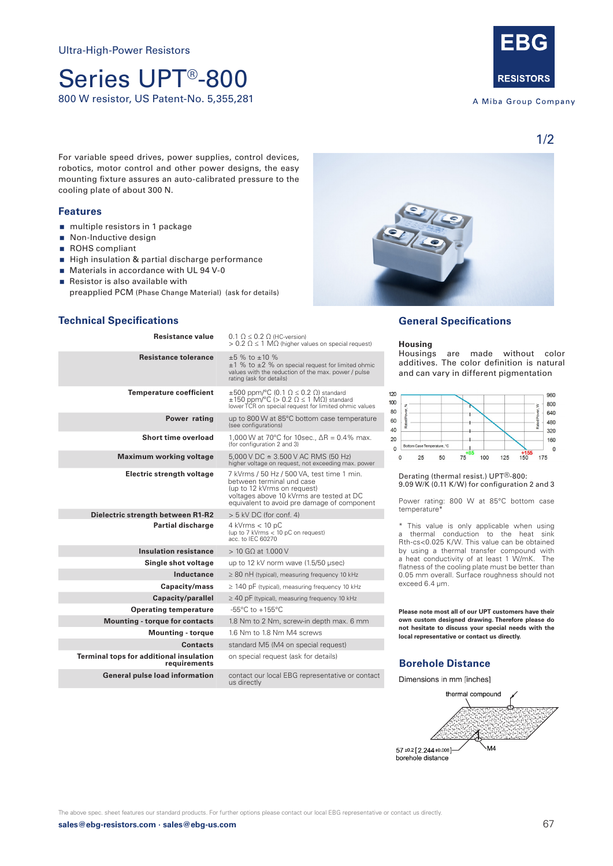## Series UPT®-800 800 W resistor, US Patent-No. 5,355,281



A Miba Group Company

1/2

For variable speed drives, power supplies, control devices, robotics, motor control and other power designs, the easy mounting fixture assures an auto-calibrated pressure to the cooling plate of about 300 N.

#### **Features**

- multiple resistors in 1 package
- Non-Inductive design
- ROHS compliant
- High insulation & partial discharge performance
- **Materials in accordance with UL 94 V-0**
- Resistor is also available with
- preapplied PCM (Phase Change Material) (ask for details)

#### **Technical Specifications**

| <b>Resistance value</b>                                        | $0.1 \Omega \leq 0.2 \Omega$ (HC-version)<br>$> 0.2 \Omega \le 1 \text{ M}\Omega$ (higher values on special request)                                                                              |
|----------------------------------------------------------------|---------------------------------------------------------------------------------------------------------------------------------------------------------------------------------------------------|
| <b>Resistance tolerance</b>                                    | $\pm 5$ % to $\pm 10$ %<br>$\pm$ 1 % to $\pm$ 2 % on special request for limited ohmic<br>values with the reduction of the max. power / pulse<br>rating (ask for details)                         |
| <b>Temperature coefficient</b>                                 | $\pm 500$ ppm/°C (0.1 $\Omega \le 0.2$ $\Omega$ ) standard<br>$\pm 150$ ppm/°C (> 0.2 $\Omega \le 1$ M $\Omega$ ) standard<br>lower TCR on special request for limited ohmic values               |
| Power rating                                                   | up to 800 W at 85°C bottom case temperature<br>(see configurations)                                                                                                                               |
| Short time overload                                            | 1,000 W at 70°C for 10sec., $\Delta R = 0.4\%$ max.<br>(for configuration 2 and 3)                                                                                                                |
| <b>Maximum working voltage</b>                                 | $5.000$ V DC $\cong$ 3.500 V AC RMS (50 Hz)<br>higher voltage on request, not exceeding max. power                                                                                                |
| Electric strength voltage                                      | 7 kVrms / 50 Hz / 500 VA, test time 1 min.<br>between terminal und case<br>(up to 12 kVrms on request)<br>voltages above 10 kVrms are tested at DC<br>equivalent to avoid pre damage of component |
| Dielectric strength between R1-R2                              | $> 5$ kV DC (for conf. 4)                                                                                                                                                                         |
| <b>Partial discharge</b>                                       | $4$ kVrms $< 10$ pC<br>(up to 7 kVrms < 10 pC on request)<br>acc. to IEC 60270                                                                                                                    |
| <b>Insulation resistance</b>                                   | $> 10$ G $\Omega$ at 1.000 V                                                                                                                                                                      |
| Single shot voltage                                            | up to 12 kV norm wave (1.5/50 usec)                                                                                                                                                               |
| Inductance                                                     | $\geq$ 80 nH (typical), measuring frequency 10 kHz                                                                                                                                                |
| Capacity/mass                                                  | $\geq$ 140 pF (typical), measuring frequency 10 kHz                                                                                                                                               |
| Capacity/parallel                                              | $\geq$ 40 pF (typical), measuring frequency 10 kHz                                                                                                                                                |
| <b>Operating temperature</b>                                   | $-55^{\circ}$ C to $+155^{\circ}$ C                                                                                                                                                               |
| <b>Mounting - torque for contacts</b>                          | 1.8 Nm to 2 Nm, screw-in depth max. 6 mm                                                                                                                                                          |
| <b>Mounting - torque</b>                                       | 1.6 Nm to 1.8 Nm M4 screws                                                                                                                                                                        |
| <b>Contacts</b>                                                | standard M5 (M4 on special request)                                                                                                                                                               |
| <b>Terminal tops for additional insulation</b><br>requirements | on special request (ask for details)                                                                                                                                                              |
| <b>General pulse load information</b>                          | contact our local EBG representative or contact<br>us directly                                                                                                                                    |

### **General Specifications**

**Housing** are made without color additives. The color definition is natural and can vary in different pigmentation



Derating (thermal resist.) UPT®-800: 9.09 W/K (0.11 K/W) for configuration 2 and 3

Power rating: 800 W at 85°C bottom case temperature\*

\* This value is only applicable when using a thermal conduction to the heat sink Rth-cs<0.025 K/W. This value can be obtained by using a thermal transfer compound with a heat conductivity of at least 1 W/mK. The flatness of the cooling plate must be better than 0.05 mm overall. Surface roughness should not exceed 6.4 μm.

**Please note most all of our UPT customers have their own custom designed drawing. Therefore please do not hesitate to discuss your special needs with the local representative or contact us directly.**

#### **Borehole Distance**

Dimensions in mm [inches]



The above spec. sheet features our standard products. For further options please contact our local EBG representative or contact us directly.